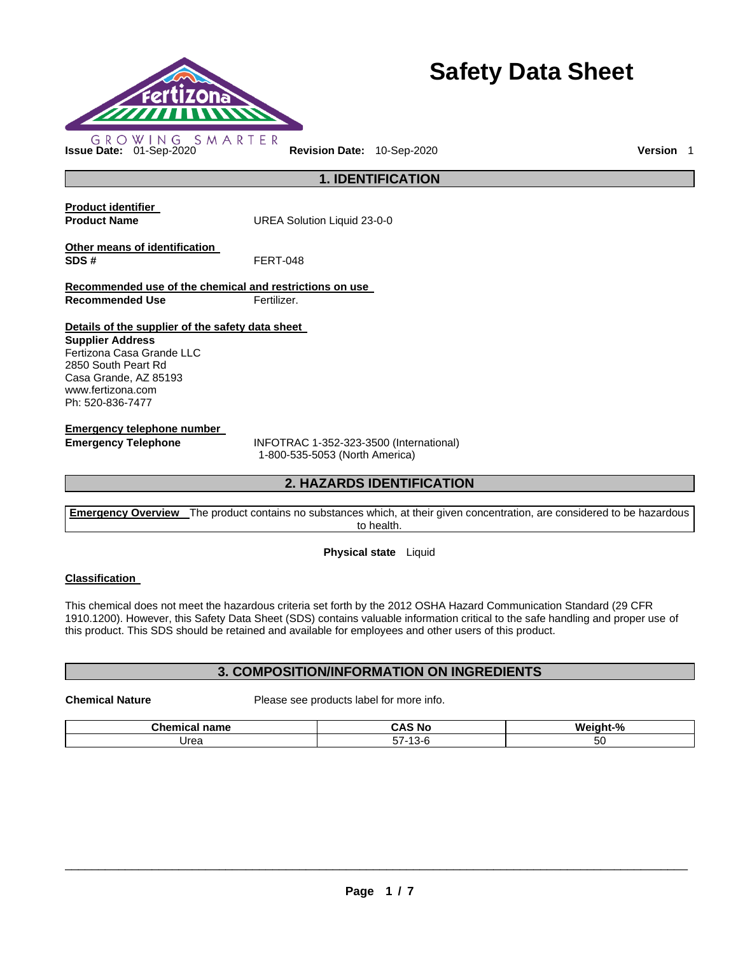

# **Safety Data Sheet**

**1. IDENTIFICATION** 

**Product identifier** 

**Product Name UREA Solution Liquid 23-0-0** 

**Other means of identification SDS #** FERT-048

**Recommended use of the chemical and restrictions on use Recommended Use Fertilizer.** 

**Details of the supplier of the safety data sheet** 

**Supplier Address** Fertizona Casa Grande LLC 2850 South Peart Rd Casa Grande, AZ 85193 www.fertizona.com Ph: 520-836-7477

**Emergency telephone number** 

**Emergency Telephone** INFOTRAC 1-352-323-3500 (International) 1-800-535-5053 (North America)

# **2. HAZARDS IDENTIFICATION**

**Emergency Overview** The product contains no substances which, at their given concentration, are considered to be hazardous to health.

## **Physical state** Liquid

## **Classification**

This chemical does not meet the hazardous criteria set forth by the 2012 OSHA Hazard Communication Standard (29 CFR 1910.1200). However, this Safety Data Sheet (SDS) contains valuable information critical to the safe handling and proper use of this product. This SDS should be retained and available for employees and other users of this product.

## **3. COMPOSITION/INFORMATION ON INGREDIENTS**

**Chemical Nature**  Please see products label for more info.

| <b>Collaboration</b><br>$\sim$<br>name | - -<br>-<br>∼ ∧<br>N0<br>. .  | W۵<br>iaht-%    |
|----------------------------------------|-------------------------------|-----------------|
| Jrea                                   | $- -$<br>$\sim$<br>۱۰ ن<br>-ت | r c<br>51<br>υU |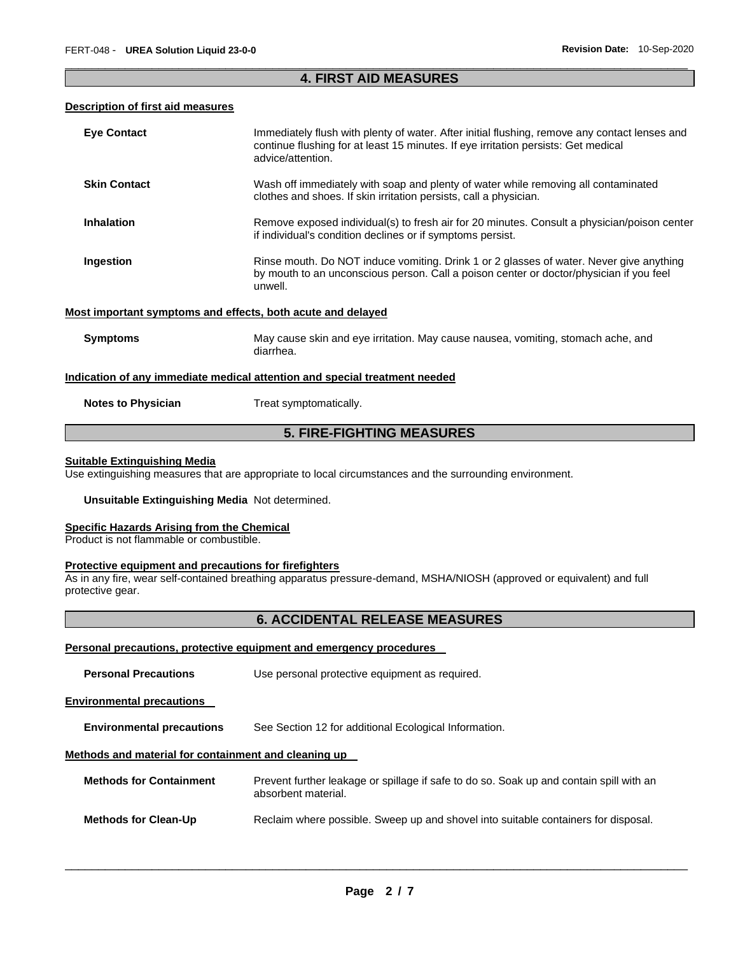## \_\_\_\_\_\_\_\_\_\_\_\_\_\_\_\_\_\_\_\_\_\_\_\_\_\_\_\_\_\_\_\_\_\_\_\_\_\_\_\_\_\_\_\_\_\_\_\_\_\_\_\_\_\_\_\_\_\_\_\_\_\_\_\_\_\_\_\_\_\_\_\_\_\_\_\_\_\_\_\_\_\_\_\_\_\_\_\_\_\_\_\_\_ **4. FIRST AID MEASURES**

## **Description of first aid measures**

| <b>Eye Contact</b>                                                         | Immediately flush with plenty of water. After initial flushing, remove any contact lenses and<br>continue flushing for at least 15 minutes. If eye irritation persists: Get medical<br>advice/attention. |  |
|----------------------------------------------------------------------------|----------------------------------------------------------------------------------------------------------------------------------------------------------------------------------------------------------|--|
| <b>Skin Contact</b>                                                        | Wash off immediately with soap and plenty of water while removing all contaminated<br>clothes and shoes. If skin irritation persists, call a physician.                                                  |  |
| <b>Inhalation</b>                                                          | Remove exposed individual(s) to fresh air for 20 minutes. Consult a physician/poison center<br>if individual's condition declines or if symptoms persist.                                                |  |
| Ingestion                                                                  | Rinse mouth. Do NOT induce vomiting. Drink 1 or 2 glasses of water. Never give anything<br>by mouth to an unconscious person. Call a poison center or doctor/physician if you feel<br>unwell.            |  |
| Most important symptoms and effects, both acute and delayed                |                                                                                                                                                                                                          |  |
| <b>Symptoms</b>                                                            | May cause skin and eye irritation. May cause nausea, vomiting, stomach ache, and<br>diarrhea.                                                                                                            |  |
| Indication of any immediate medical attention and special treatment needed |                                                                                                                                                                                                          |  |
| <b>Notes to Physician</b>                                                  | Treat symptomatically.                                                                                                                                                                                   |  |
| <b>5. FIRE-FIGHTING MEASURES</b>                                           |                                                                                                                                                                                                          |  |

## **Suitable Extinguishing Media**

Use extinguishing measures that are appropriate to local circumstances and the surrounding environment.

#### **Unsuitable Extinguishing Media** Not determined.

#### **Specific Hazards Arising from the Chemical**

Product is not flammable or combustible.

#### **Protective equipment and precautions for firefighters**

As in any fire, wear self-contained breathing apparatus pressure-demand, MSHA/NIOSH (approved or equivalent) and full protective gear.

## **6. ACCIDENTAL RELEASE MEASURES**

## **Personal precautions, protective equipment and emergency procedures**

| <b>Personal Precautions</b>                          | Use personal protective equipment as required.                                                                 |
|------------------------------------------------------|----------------------------------------------------------------------------------------------------------------|
| <b>Environmental precautions</b>                     |                                                                                                                |
| <b>Environmental precautions</b>                     | See Section 12 for additional Ecological Information.                                                          |
| Methods and material for containment and cleaning up |                                                                                                                |
| <b>Methods for Containment</b>                       | Prevent further leakage or spillage if safe to do so. Soak up and contain spill with an<br>absorbent material. |
| <b>Methods for Clean-Up</b>                          | Reclaim where possible. Sweep up and shovel into suitable containers for disposal.                             |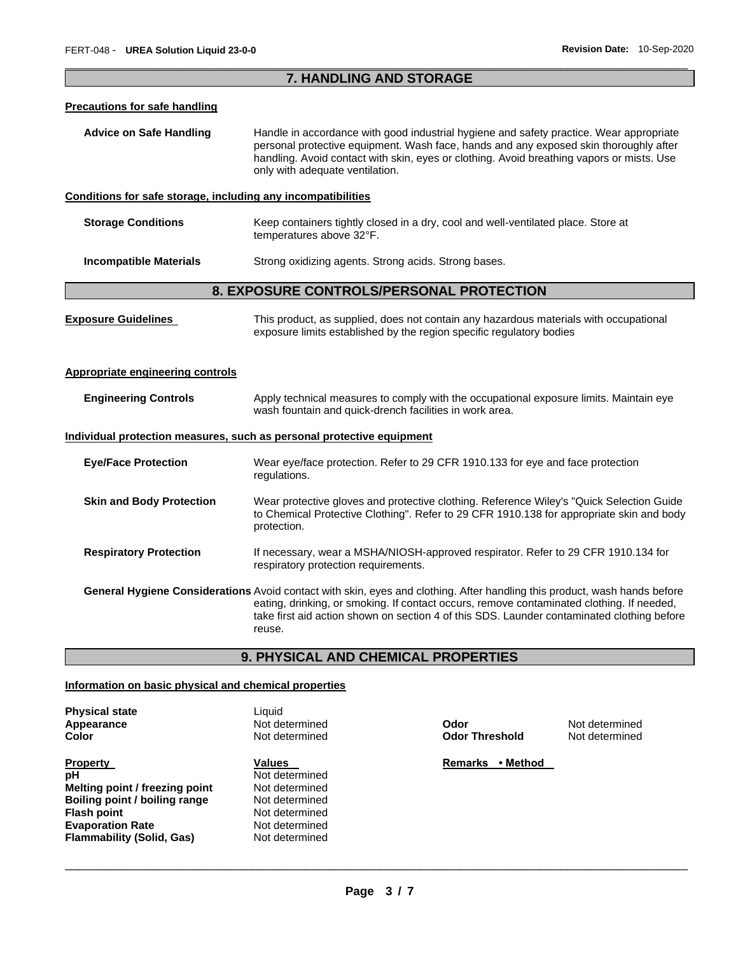## \_\_\_\_\_\_\_\_\_\_\_\_\_\_\_\_\_\_\_\_\_\_\_\_\_\_\_\_\_\_\_\_\_\_\_\_\_\_\_\_\_\_\_\_\_\_\_\_\_\_\_\_\_\_\_\_\_\_\_\_\_\_\_\_\_\_\_\_\_\_\_\_\_\_\_\_\_\_\_\_\_\_\_\_\_\_\_\_\_\_\_\_\_ **7. HANDLING AND STORAGE**

#### **Precautions for safe handling**

**Advice on Safe Handling** Handle in accordance with good industrial hygiene and safety practice. Wear appropriate personal protective equipment. Wash face, hands and any exposed skin thoroughly after handling. Avoid contact with skin, eyes or clothing. Avoid breathing vapors or mists. Use only with adequate ventilation.

## **Conditions for safe storage, including any incompatibilities**

| <b>Storage Conditions</b> | Keep containers tightly closed in a dry, cool and well-ventilated place. Store at |
|---------------------------|-----------------------------------------------------------------------------------|
|                           | temperatures above 32°F.                                                          |
|                           |                                                                                   |

**Incompatible Materials Strong oxidizing agents. Strong acids. Strong bases.** 

## **8. EXPOSURE CONTROLS/PERSONAL PROTECTION**

| <b>Exposure Guidelines</b>       | This product, as supplied, does not contain any hazardous materials with occupational<br>exposure limits established by the region specific regulatory bodies                                                                                                                                                                  |
|----------------------------------|--------------------------------------------------------------------------------------------------------------------------------------------------------------------------------------------------------------------------------------------------------------------------------------------------------------------------------|
| Appropriate engineering controls |                                                                                                                                                                                                                                                                                                                                |
| <b>Engineering Controls</b>      | Apply technical measures to comply with the occupational exposure limits. Maintain eye<br>wash fountain and quick-drench facilities in work area.                                                                                                                                                                              |
|                                  | Individual protection measures, such as personal protective equipment                                                                                                                                                                                                                                                          |
| <b>Eye/Face Protection</b>       | Wear eye/face protection. Refer to 29 CFR 1910.133 for eye and face protection<br>regulations.                                                                                                                                                                                                                                 |
| <b>Skin and Body Protection</b>  | Wear protective gloves and protective clothing. Reference Wiley's "Quick Selection Guide"<br>to Chemical Protective Clothing". Refer to 29 CFR 1910.138 for appropriate skin and body<br>protection.                                                                                                                           |
| <b>Respiratory Protection</b>    | If necessary, wear a MSHA/NIOSH-approved respirator. Refer to 29 CFR 1910.134 for<br>respiratory protection requirements.                                                                                                                                                                                                      |
|                                  | General Hygiene Considerations Avoid contact with skin, eyes and clothing. After handling this product, wash hands before<br>eating, drinking, or smoking. If contact occurs, remove contaminated clothing. If needed,<br>take first aid action shown on section 4 of this SDS. Launder contaminated clothing before<br>reuse. |

# **9. PHYSICAL AND CHEMICAL PROPERTIES**

## **Information on basic physical and chemical properties**

| <b>Physical state</b>            | Liquid         |
|----------------------------------|----------------|
| Appearance                       | Not determined |
| Color                            | Not determined |
| <b>Property</b>                  | <b>Values</b>  |
| рH                               | Not determined |
| Melting point / freezing point   | Not determined |
| Boiling point / boiling range    | Not determined |
| <b>Flash point</b>               | Not determined |
| <b>Evaporation Rate</b>          | Not determined |
| <b>Flammability (Solid, Gas)</b> | Not determined |

**Odor Threshold Not determined** 

**Apple 2018** Mot determined

**Remarks • Method**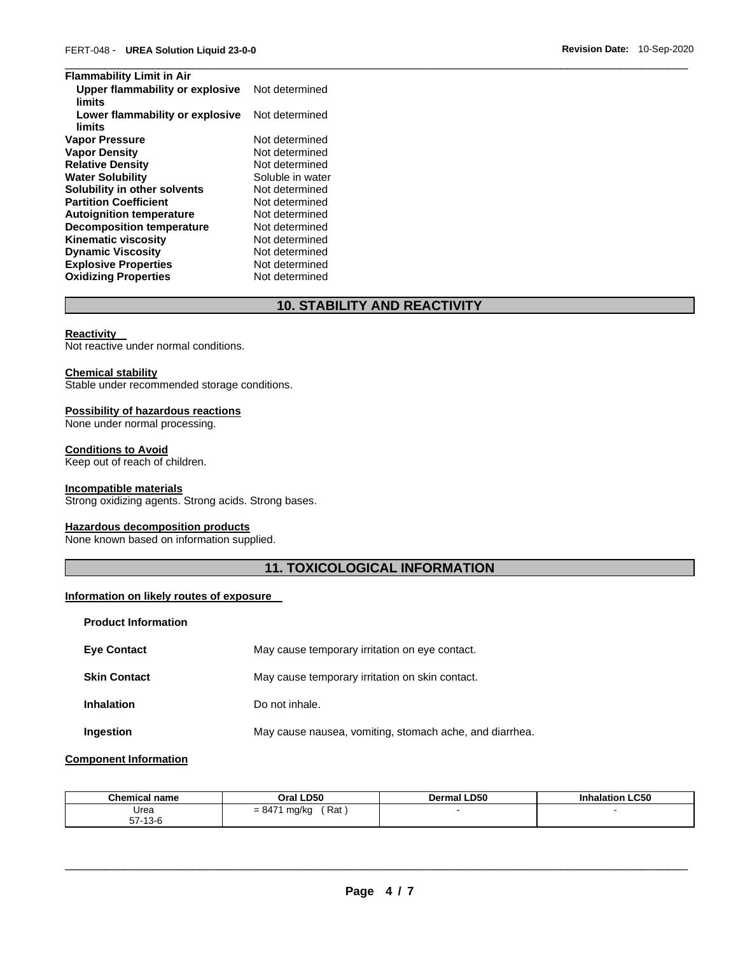| <b>Flammability Limit in Air</b>          |                  |
|-------------------------------------------|------------------|
| Upper flammability or explosive           | Not determined   |
| limits                                    |                  |
| Lower flammability or explosive<br>limits | Not determined   |
| <b>Vapor Pressure</b>                     | Not determined   |
|                                           |                  |
| <b>Vapor Density</b>                      | Not determined   |
| <b>Relative Density</b>                   | Not determined   |
| <b>Water Solubility</b>                   | Soluble in water |
| Solubility in other solvents              | Not determined   |
| <b>Partition Coefficient</b>              | Not determined   |
| <b>Autoignition temperature</b>           | Not determined   |
| <b>Decomposition temperature</b>          | Not determined   |
| <b>Kinematic viscosity</b>                | Not determined   |
| <b>Dynamic Viscosity</b>                  | Not determined   |
| <b>Explosive Properties</b>               | Not determined   |
| <b>Oxidizing Properties</b>               | Not determined   |

# **10. STABILITY AND REACTIVITY**

## **Reactivity**

Not reactive under normal conditions.

#### **Chemical stability**

Stable under recommended storage conditions.

## **Possibility of hazardous reactions**

None under normal processing.

## **Conditions to Avoid**

Keep out of reach of children.

## **Incompatible materials**

Strong oxidizing agents. Strong acids. Strong bases.

## **Hazardous decomposition products**

None known based on information supplied.

# **11. TOXICOLOGICAL INFORMATION**

## **Information on likely routes of exposure**

| <b>Product Information</b> |                                                         |
|----------------------------|---------------------------------------------------------|
| <b>Eye Contact</b>         | May cause temporary irritation on eye contact.          |
| <b>Skin Contact</b>        | May cause temporary irritation on skin contact.         |
| <b>Inhalation</b>          | Do not inhale.                                          |
| Ingestion                  | May cause nausea, vomiting, stomach ache, and diarrhea. |

## **Component Information**

| <b>Chemical name</b>               | Oral LD50                        | <b>Dermal LD50</b> | halation LC50 |
|------------------------------------|----------------------------------|--------------------|---------------|
| Urea<br>$-7$<br>12C<br>13-6<br>57- | `Rat<br>$= 847^{\circ}$<br>ma/ka |                    |               |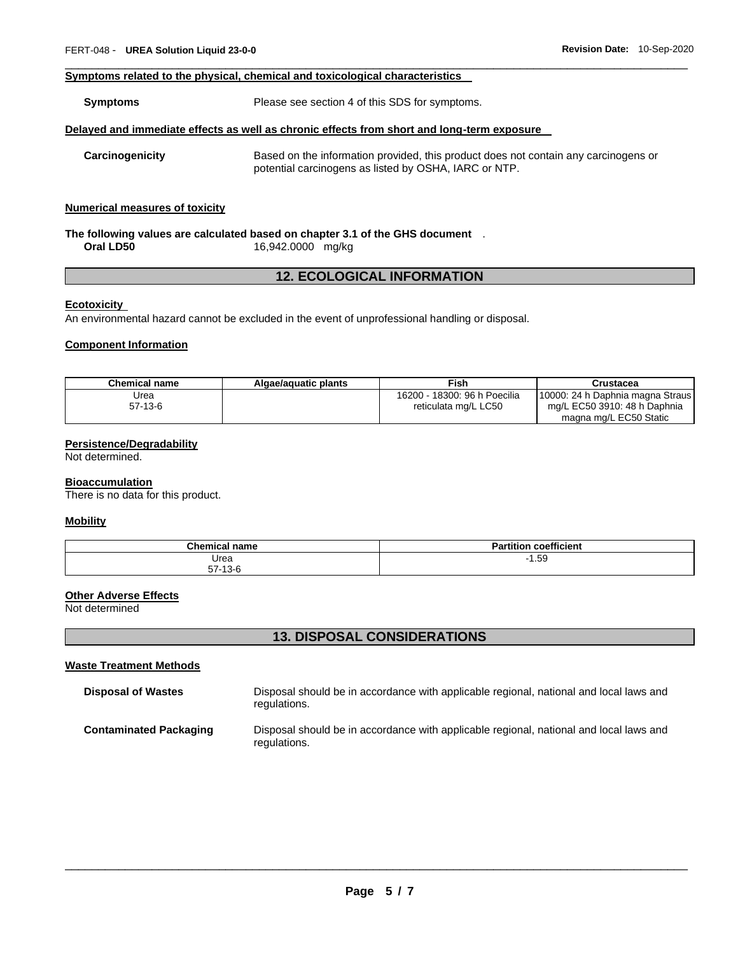## **Symptoms related to the physical, chemical and toxicological characteristics**

**Symptoms** Please see section 4 of this SDS for symptoms.

#### **Delayed and immediate effects as well as chronic effects from short and long-term exposure**

**Carcinogenicity** Based on the information provided, this product does not contain any carcinogens or potential carcinogens as listed by OSHA, IARC or NTP.

\_\_\_\_\_\_\_\_\_\_\_\_\_\_\_\_\_\_\_\_\_\_\_\_\_\_\_\_\_\_\_\_\_\_\_\_\_\_\_\_\_\_\_\_\_\_\_\_\_\_\_\_\_\_\_\_\_\_\_\_\_\_\_\_\_\_\_\_\_\_\_\_\_\_\_\_\_\_\_\_\_\_\_\_\_\_\_\_\_\_\_\_\_

## **Numerical measures of toxicity**

## **The following values are calculated based on chapter 3.1 of the GHS document** . **Oral LD50** 16,942.0000 mg/kg

## **12. ECOLOGICAL INFORMATION**

#### **Ecotoxicity**

An environmental hazard cannot be excluded in the event of unprofessional handling or disposal.

## **Component Information**

| Chemical name | Algae/aguatic plants | Fish                         | Crustacea                                              |
|---------------|----------------------|------------------------------|--------------------------------------------------------|
| Urea          |                      | 16200 - 18300: 96 h Poecilia | [10000: 24 h Daphnia magna Straus]                     |
| 57-13-6       |                      | reticulata mg/L LC50         | mg/L EC50 3910: 48 h Daphnia<br>magna mg/L EC50 Static |

## **Persistence/Degradability**

Not determined.

#### **Bioaccumulation**

There is no data for this product.

## **Mobility**

| $^{\circ}$ homi<br>name | <b>Partition coefficient</b> |
|-------------------------|------------------------------|
| Urea                    | 1.59<br>- 1                  |
| $-742c$                 |                              |

#### **Other Adverse Effects**

Not determined

## **13. DISPOSAL CONSIDERATIONS**

#### **Waste Treatment Methods**

| <b>Disposal of Wastes</b>     | Disposal should be in accordance with applicable regional, national and local laws and<br>regulations. |
|-------------------------------|--------------------------------------------------------------------------------------------------------|
| <b>Contaminated Packaging</b> | Disposal should be in accordance with applicable regional, national and local laws and<br>regulations. |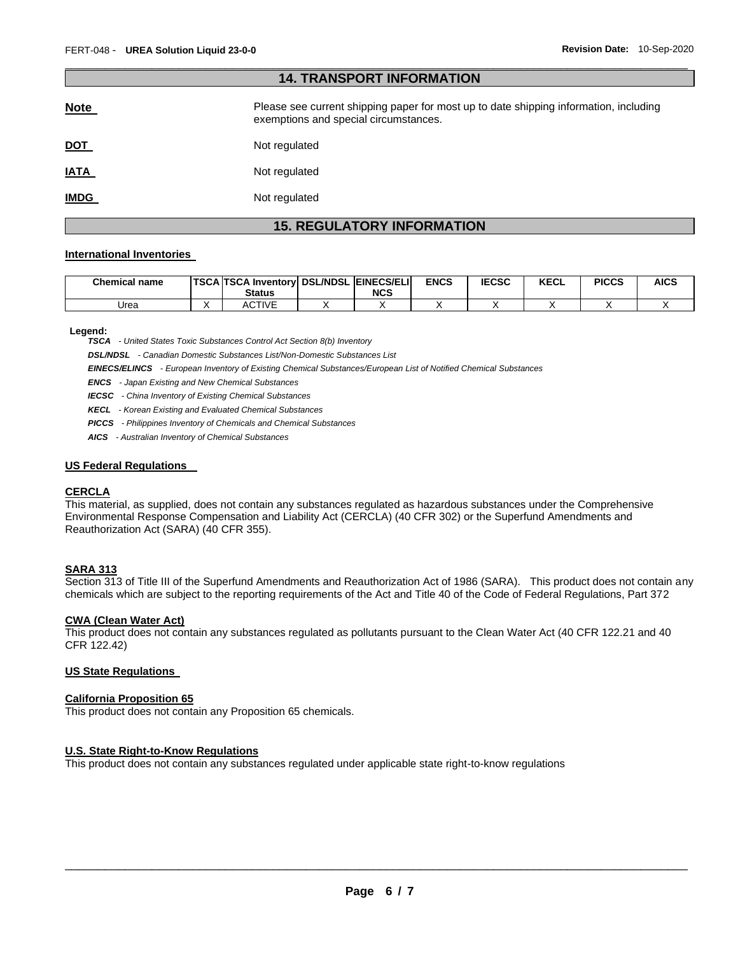| 14. IKANSPUKI INFUKWAIIUN |                                                                                                                                |  |  |  |  |  |
|---------------------------|--------------------------------------------------------------------------------------------------------------------------------|--|--|--|--|--|
| <b>Note</b>               | Please see current shipping paper for most up to date shipping information, including<br>exemptions and special circumstances. |  |  |  |  |  |
| <u>DOT</u>                | Not regulated                                                                                                                  |  |  |  |  |  |
| <b>IATA</b>               | Not regulated                                                                                                                  |  |  |  |  |  |
| <b>IMDG</b>               | Not regulated                                                                                                                  |  |  |  |  |  |

\_\_\_\_\_\_\_\_\_\_\_\_\_\_\_\_\_\_\_\_\_\_\_\_\_\_\_\_\_\_\_\_\_\_\_\_\_\_\_\_\_\_\_\_\_\_\_\_\_\_\_\_\_\_\_\_\_\_\_\_\_\_\_\_\_\_\_\_\_\_\_\_\_\_\_\_\_\_\_\_\_\_\_\_\_\_\_\_\_\_\_\_\_

**14. TRANSPORT INFORMATION** 

# **15. REGULATORY INFORMATION**

## **International Inventories**

| <b>Chemical name</b> | <b>TSCA TSCA Inventory DSL/NDSL EINECS/ELI</b><br><b>Status</b> | NCS | <b>ENCS</b> | <b>IECSC</b> | <b>KECL</b> | <b>PICCS</b> | <b>AICS</b> |
|----------------------|-----------------------------------------------------------------|-----|-------------|--------------|-------------|--------------|-------------|
| Urea                 | ACTIVE                                                          |     |             |              |             |              |             |

#### **Legend:**

*TSCA - United States Toxic Substances Control Act Section 8(b) Inventory* 

*DSL/NDSL - Canadian Domestic Substances List/Non-Domestic Substances List* 

*EINECS/ELINCS - European Inventory of Existing Chemical Substances/European List of Notified Chemical Substances* 

*ENCS - Japan Existing and New Chemical Substances* 

*IECSC - China Inventory of Existing Chemical Substances* 

*KECL - Korean Existing and Evaluated Chemical Substances* 

*PICCS - Philippines Inventory of Chemicals and Chemical Substances* 

*AICS - Australian Inventory of Chemical Substances* 

## **US Federal Regulations**

#### **CERCLA**

This material, as supplied, does not contain any substances regulated as hazardous substances under the Comprehensive Environmental Response Compensation and Liability Act (CERCLA) (40 CFR 302) or the Superfund Amendments and Reauthorization Act (SARA) (40 CFR 355).

## **SARA 313**

Section 313 of Title III of the Superfund Amendments and Reauthorization Act of 1986 (SARA). This product does not contain any chemicals which are subject to the reporting requirements of the Act and Title 40 of the Code of Federal Regulations, Part 372

## **CWA (Clean Water Act)**

This product does not contain any substances regulated as pollutants pursuant to the Clean Water Act (40 CFR 122.21 and 40 CFR 122.42)

## **US State Regulations**

#### **California Proposition 65**

This product does not contain any Proposition 65 chemicals.

## **U.S. State Right-to-Know Regulations**

This product does not contain any substances regulated under applicable state right-to-know regulations